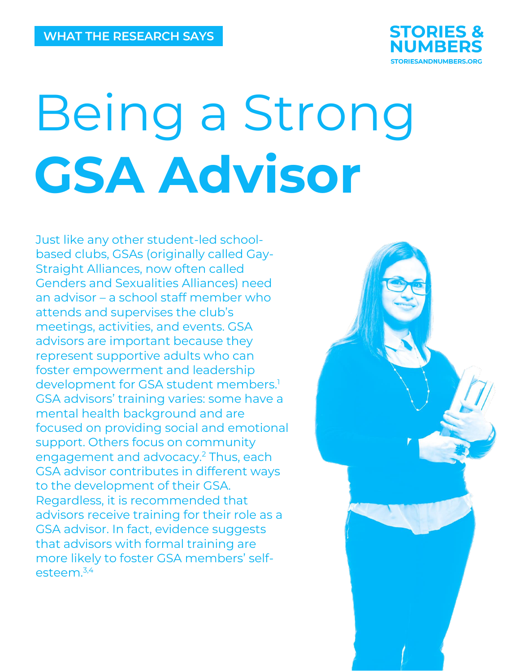

# Being a Strong **GSA Advisor**

Just like any other student-led schoolbased clubs, GSAs (originally called Gay-Straight Alliances, now often called Genders and Sexualities Alliances) need an advisor – a school staff member who attends and supervises the club's meetings, activities, and events. GSA advisors are important because they represent supportive adults who can foster empowerment and leadership development for GSA student members. 1 GSA advisors' training varies: some have a mental health background and are focused on providing social and emotional support. Others focus on community engagement and advocacy. <sup>2</sup> Thus, each GSA advisor contributes in different ways to the development of their GSA. Regardless, it is recommended that advisors receive training for their role as a GSA advisor. In fact, evidence suggests that advisors with formal training are more likely to foster GSA members' selfesteem. 3,4

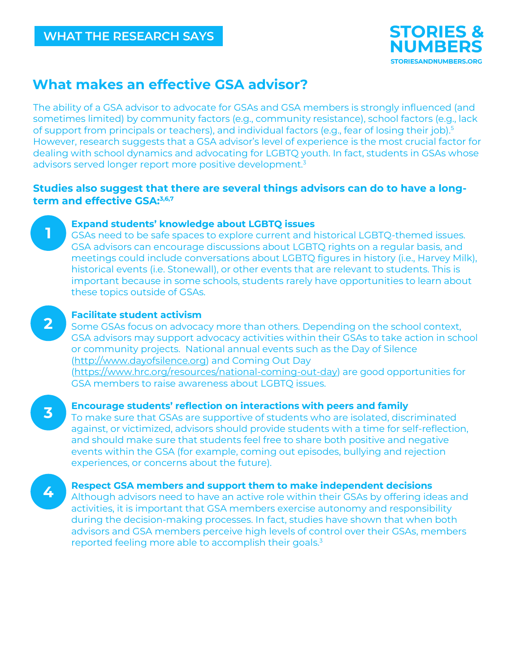

# **What makes an effective GSA advisor?**

The ability of a GSA advisor to advocate for GSAs and GSA members is strongly influenced (and sometimes limited) by community factors (e.g., community resistance), school factors (e.g., lack of support from principals or teachers), and individual factors (e.g., fear of losing their job). 5 However, research suggests that a GSA advisor's level of experience is the most crucial factor for dealing with school dynamics and advocating for LGBTQ youth. In fact, students in GSAs whose advisors served longer report more positive development. 3

## **Studies also suggest that there are several things advisors can do to have a longterm and effective GSA: 3,6,7**



#### **Expand students' knowledge about LGBTQ issues**

GSAs need to be safe spaces to explore current and historical LGBTQ-themed issues. GSA advisors can encourage discussions about LGBTQ rights on a regular basis, and meetings could include conversations about LGBTQ figures in history (i.e., Harvey Milk), historical events (i.e. Stonewall), or other events that are relevant to students. This is important because in some schools, students rarely have opportunities to learn about these topics outside of GSAs.



### **Facilitate student activism**

Some GSAs focus on advocacy more than others. Depending on the school context, GSA advisors may support advocacy activities within their GSAs to take action in school or community projects. National annual events such as the Day of Silence [\(http://www.dayofsilence.org\)](http://www.dayofsilence.org/) and Coming Out Day [\(https://www.hrc.org/resources/national-coming-out-day\)](https://www.hrc.org/resources/national-coming-out-day) are good opportunities for GSA members to raise awareness about LGBTQ issues.

**3**

**4**

#### **Encourage students' reflection on interactions with peers and family**

To make sure that GSAs are supportive of students who are isolated, discriminated against, or victimized, advisors should provide students with a time for self-reflection, and should make sure that students feel free to share both positive and negative events within the GSA (for example, coming out episodes, bullying and rejection experiences, or concerns about the future).

**Respect GSA members and support them to make independent decisions** 

Although advisors need to have an active role within their GSAs by offering ideas and activities, it is important that GSA members exercise autonomy and responsibility during the decision-making processes. In fact, studies have shown that when both advisors and GSA members perceive high levels of control over their GSAs, members reported feeling more able to accomplish their goals.<sup>3</sup>